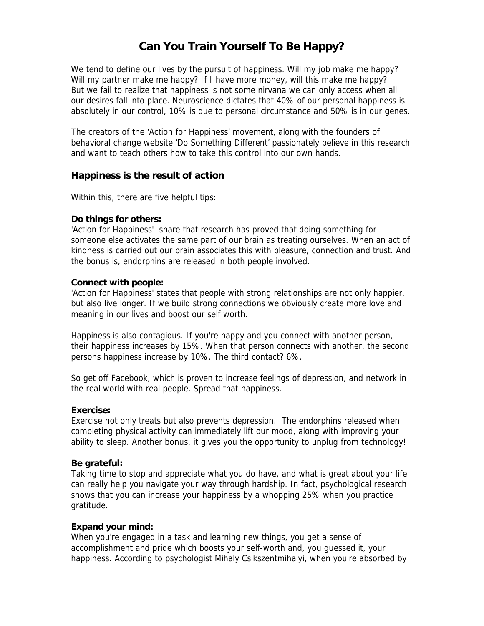# **Can You Train Yourself To Be Happy?**

We tend to define our lives by the pursuit of happiness. Will my job make me happy? Will my partner make me happy? If I have more money, will this make me happy? But we fail to realize that happiness is not some nirvana we can only access when all our desires fall into place. Neuroscience dictates that 40% of our personal happiness is absolutely in our control, 10% is due to personal circumstance and 50% is in our genes.

The creators of the 'Action for Happiness' movement, along with the founders of behavioral change website 'Do Something Different' passionately believe in this research and want to teach others how to take this control into our own hands.

# **Happiness is the result of action**

Within this, there are five helpful tips:

# **Do things for others:**

'Action for Happiness' share that research has proved that doing something for someone else activates the same part of our brain as treating ourselves. When an act of kindness is carried out our brain associates this with pleasure, connection and trust. And the bonus is, endorphins are released in both people involved.

### **Connect with people:**

'Action for Happiness' states that people with strong relationships are not only happier, but also live longer. If we build strong connections we obviously create more love and meaning in our lives and boost our self worth.

Happiness is also contagious. If you're happy and you connect with another person, their happiness increases by 15%. When that person connects with another, the second persons happiness increase by 10%. The third contact? 6%.

So get off Facebook, which is proven to increase feelings of depression, and network in the real world with real people. Spread that happiness.

#### **Exercise:**

Exercise not only treats but also prevents depression. The endorphins released when completing physical activity can immediately lift our mood, along with improving your ability to sleep. Another bonus, it gives you the opportunity to unplug from technology!

#### **Be grateful:**

Taking time to stop and appreciate what you do have, and what is great about your life can really help you navigate your way through hardship. In fact, psychological research shows that you can increase your happiness by a whopping 25% when you practice gratitude.

# **Expand your mind:**

When you're engaged in a task and learning new things, you get a sense of accomplishment and pride which boosts your self-worth and, you guessed it, your happiness. According to psychologist Mihaly Csikszentmihalyi, when you're absorbed by